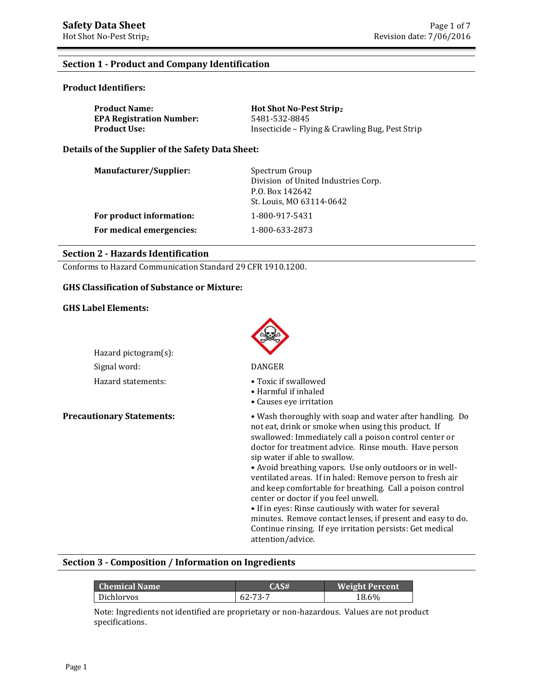# **Section 1 - Product and Company Identification**

# **Product Identifiers:**

| <b>Product Name:</b>            | <b>Hot Shot No-Pest Stripz</b>                  |
|---------------------------------|-------------------------------------------------|
| <b>EPA Registration Number:</b> | 5481-532-8845                                   |
| <b>Product Use:</b>             | Insecticide – Flying & Crawling Bug, Pest Strip |

**Details of the Supplier of the Safety Data Sheet:**

| Manufacturer/Supplier:   | Spectrum Group<br>Division of United Industries Corp.<br>P.O. Box 142642<br>St. Louis, MO 63114-0642 |
|--------------------------|------------------------------------------------------------------------------------------------------|
| For product information: | 1-800-917-5431                                                                                       |
| For medical emergencies: | 1-800-633-2873                                                                                       |

# **Section 2 - Hazards Identification**

Conforms to Hazard Communication Standard 29 CFR 1910.1200.

### **GHS Classification of Substance or Mixture:**

### **GHS Label Elements:**

| Hazard pictogram(s): |                                 |
|----------------------|---------------------------------|
| Signal word:         | DANGER                          |
| Hazard statements:   | $\bullet$ Tovic if $\mathbf{c}$ |

- Hazard statements: Toxic if swallowed
	- Harmful if inhaled
	- Causes eye irritation

**Precautionary Statements:** • • Wash thoroughly with soap and water after handling. Do not eat, drink or smoke when using this product. If swallowed: Immediately call a poison control center or doctor for treatment advice. Rinse mouth. Have person sip water if able to swallow.

• Avoid breathing vapors. Use only outdoors or in wellventilated areas. If in haled: Remove person to fresh air and keep comfortable for breathing. Call a poison control center or doctor if you feel unwell.

• If in eyes: Rinse cautiously with water for several minutes. Remove contact lenses, if present and easy to do. Continue rinsing. If eye irritation persists: Get medical attention/advice.

# **Section 3 - Composition / Information on Ingredients**

| <b>Chemical Name</b> | CAS#    | <b>Weight Percent</b> |
|----------------------|---------|-----------------------|
| Dichlorvos           | 62-73-7 | 18.6%                 |

Note: Ingredients not identified are proprietary or non-hazardous. Values are not product specifications.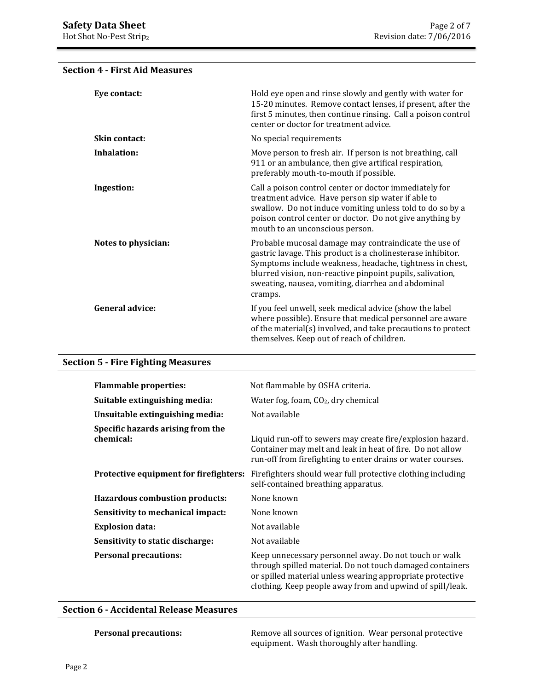**Section 4 - First Aid Measures**

# **Eye contact: Exercise 3** Hold eye open and rinse slowly and gently with water for 15-20 minutes. Remove contact lenses, if present, after the first 5 minutes, then continue rinsing. Call a poison control center or doctor for treatment advice. **Skin contact:** No special requirements **Inhalation:** Move person to fresh air. If person is not breathing, call 911 or an ambulance, then give artifical respiration, preferably mouth-to-mouth if possible. **Ingestion:** Call a poison control center or doctor immediately for treatment advice. Have person sip water if able to swallow. Do not induce vomiting unless told to do so by a poison control center or doctor. Do not give anything by mouth to an unconscious person. **Notes to physician:** Probable mucosal damage may contraindicate the use of gastric lavage. This product is a cholinesterase inhibitor. Symptoms include weakness, headache, tightness in chest, blurred vision, non-reactive pinpoint pupils, salivation, sweating, nausea, vomiting, diarrhea and abdominal cramps. **General advice:** If you feel unwell, seek medical advice (show the label where possible). Ensure that medical personnel are aware of the material(s) involved, and take precautions to protect themselves. Keep out of reach of children.

# **Section 5 - Fire Fighting Measures**

| <b>Flammable properties:</b>                   | Not flammable by OSHA criteria.                                                                                                                                                                                                              |
|------------------------------------------------|----------------------------------------------------------------------------------------------------------------------------------------------------------------------------------------------------------------------------------------------|
| Suitable extinguishing media:                  | Water fog, foam, $CO2$ , dry chemical                                                                                                                                                                                                        |
| Unsuitable extinguishing media:                | Not available                                                                                                                                                                                                                                |
| Specific hazards arising from the<br>chemical: | Liquid run-off to sewers may create fire/explosion hazard.<br>Container may melt and leak in heat of fire. Do not allow<br>run-off from firefighting to enter drains or water courses.                                                       |
| <b>Protective equipment for firefighters:</b>  | Firefighters should wear full protective clothing including<br>self-contained breathing apparatus.                                                                                                                                           |
| <b>Hazardous combustion products:</b>          | None known                                                                                                                                                                                                                                   |
| Sensitivity to mechanical impact:              | None known                                                                                                                                                                                                                                   |
| <b>Explosion data:</b>                         | Not available                                                                                                                                                                                                                                |
| Sensitivity to static discharge:               | Not available                                                                                                                                                                                                                                |
| <b>Personal precautions:</b>                   | Keep unnecessary personnel away. Do not touch or walk<br>through spilled material. Do not touch damaged containers<br>or spilled material unless wearing appropriate protective<br>clothing. Keep people away from and upwind of spill/leak. |

### **Section 6 - Accidental Release Measures**

**Personal precautions:** Remove all sources of ignition. Wear personal protective equipment. Wash thoroughly after handling.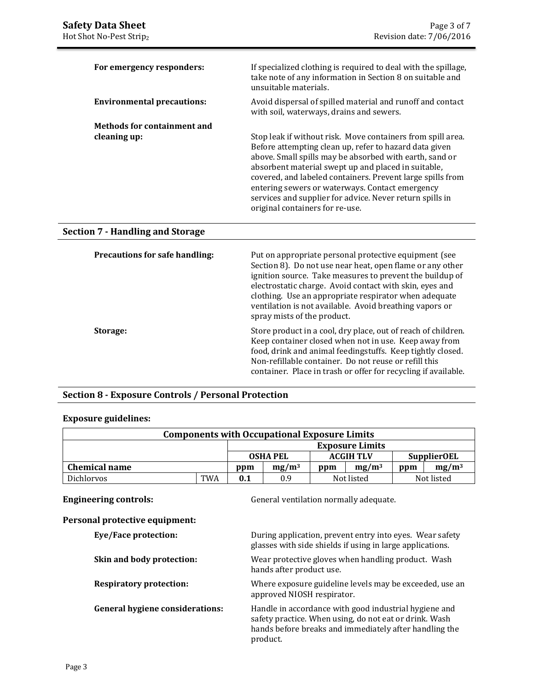| For emergency responders:          | If specialized clothing is required to deal with the spillage,<br>take note of any information in Section 8 on suitable and<br>unsuitable materials.                                                                                                                                                                                                                                                                                                    |
|------------------------------------|---------------------------------------------------------------------------------------------------------------------------------------------------------------------------------------------------------------------------------------------------------------------------------------------------------------------------------------------------------------------------------------------------------------------------------------------------------|
| <b>Environmental precautions:</b>  | Avoid dispersal of spilled material and runoff and contact<br>with soil, waterways, drains and sewers.                                                                                                                                                                                                                                                                                                                                                  |
| <b>Methods for containment and</b> |                                                                                                                                                                                                                                                                                                                                                                                                                                                         |
| cleaning up:                       | Stop leak if without risk. Move containers from spill area.<br>Before attempting clean up, refer to hazard data given<br>above. Small spills may be absorbed with earth, sand or<br>absorbent material swept up and placed in suitable,<br>covered, and labeled containers. Prevent large spills from<br>entering sewers or waterways. Contact emergency<br>services and supplier for advice. Never return spills in<br>original containers for re-use. |

### **Section 7 - Handling and Storage**

| <b>Precautions for safe handling:</b> | Put on appropriate personal protective equipment (see<br>Section 8). Do not use near heat, open flame or any other<br>ignition source. Take measures to prevent the buildup of<br>electrostatic charge. Avoid contact with skin, eyes and<br>clothing. Use an appropriate respirator when adequate<br>ventilation is not available. Avoid breathing vapors or<br>spray mists of the product. |
|---------------------------------------|----------------------------------------------------------------------------------------------------------------------------------------------------------------------------------------------------------------------------------------------------------------------------------------------------------------------------------------------------------------------------------------------|
| Storage:                              | Store product in a cool, dry place, out of reach of children.<br>Keep container closed when not in use. Keep away from<br>food, drink and animal feedingstuffs. Keep tightly closed.<br>Non-refillable container. Do not reuse or refill this<br>container. Place in trash or offer for recycling if available.                                                                              |

# **Section 8 - Exposure Controls / Personal Protection**

### **Exposure guidelines:**

| <b>Components with Occupational Exposure Limits</b> |            |                 |                 |     |                        |     |                    |
|-----------------------------------------------------|------------|-----------------|-----------------|-----|------------------------|-----|--------------------|
|                                                     |            |                 |                 |     | <b>Exposure Limits</b> |     |                    |
|                                                     |            |                 | <b>OSHA PEL</b> |     | <b>ACGIH TLV</b>       |     | <b>SupplierOEL</b> |
| <b>Chemical name</b>                                |            | $mg/m^3$<br>ppm |                 | ppm | $mg/m^3$               | ppm | $mg/m^3$           |
| <b>Dichlorvos</b>                                   | <b>TWA</b> | 0.1             | 0.9             |     | Not listed             |     | Not listed         |

**Engineering controls:** General ventilation normally adequate.

# **Personal protective equipment:**

**Eye/Face protection:** 

| During application, prevent entry into eyes. Wear safety  |  |  |  |  |
|-----------------------------------------------------------|--|--|--|--|
| glasses with side shields if using in large applications. |  |  |  |  |
|                                                           |  |  |  |  |

**Skin and body protection:** Wear protective gloves when handling product. Wash hands after product use.

**Respiratory protection:** Where exposure guideline levels may be exceeded, use an approved NIOSH respirator.

**General hygiene considerations:** Handle in accordance with good industrial hygiene and safety practice. When using, do not eat or drink. Wash hands before breaks and immediately after handling the product.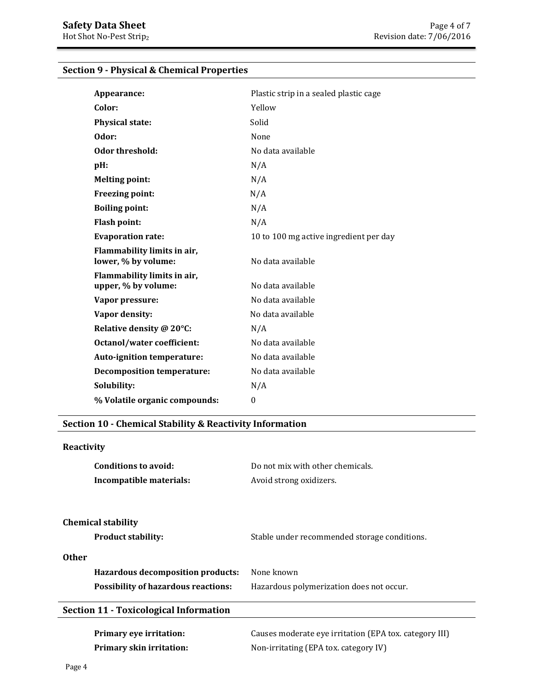| Appearance:                                        | Plastic strip in a sealed plastic cage |
|----------------------------------------------------|----------------------------------------|
| Color:                                             | Yellow                                 |
| <b>Physical state:</b>                             | Solid                                  |
| Odor:                                              | None                                   |
| Odor threshold:                                    | No data available                      |
| pH:                                                | N/A                                    |
| <b>Melting point:</b>                              | N/A                                    |
| <b>Freezing point:</b>                             | N/A                                    |
| <b>Boiling point:</b>                              | N/A                                    |
| Flash point:                                       | N/A                                    |
| <b>Evaporation rate:</b>                           | 10 to 100 mg active ingredient per day |
| Flammability limits in air,<br>lower, % by volume: | No data available                      |
| Flammability limits in air,<br>upper, % by volume: | No data available                      |
| Vapor pressure:                                    | No data available                      |
| Vapor density:                                     | No data available                      |
| Relative density @ 20°C:                           | N/A                                    |
| <b>Octanol/water coefficient:</b>                  | No data available                      |
| Auto-ignition temperature:                         | No data available                      |
| <b>Decomposition temperature:</b>                  | No data available                      |
| Solubility:                                        | N/A                                    |
| % Volatile organic compounds:                      | $\theta$                               |

# **Section 9 - Physical & Chemical Properties**

# **Section 10 - Chemical Stability & Reactivity Information**

# **Reactivity Conditions to avoid:** Do not mix with other chemicals. **Incompatible materials:** Avoid strong oxidizers. **Chemical stability Product stability:** Stable under recommended storage conditions. **Other Hazardous decomposition products:** None known **Possibility of hazardous reactions:** Hazardous polymerization does not occur. **Primary eye irritation:** Causes moderate eye irritation (EPA tox. category III) **Primary skin irritation:** Non-irritating (EPA tox. category IV) **Section 11 - Toxicological Information**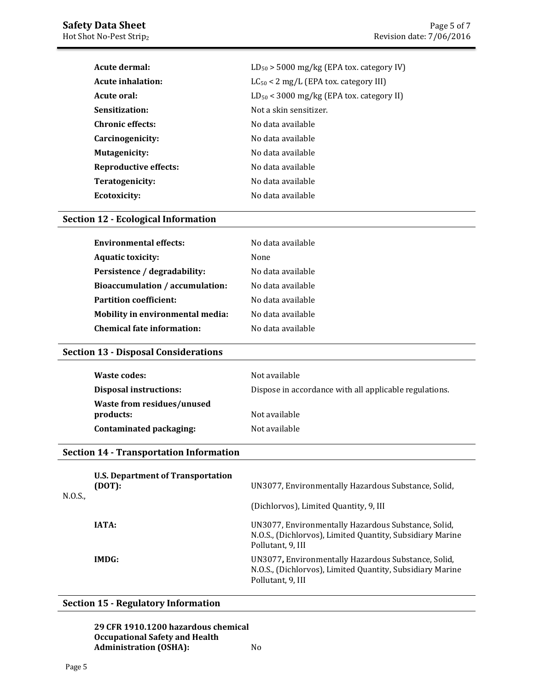| Acute dermal:            | $LD_{50}$ > 5000 mg/kg (EPA tox. category IV) |
|--------------------------|-----------------------------------------------|
| <b>Acute inhalation:</b> | $LC_{50}$ < 2 mg/L (EPA tox. category III)    |
| Acute oral:              | $LD_{50}$ < 3000 mg/kg (EPA tox. category II) |
| Sensitization:           | Not a skin sensitizer.                        |
| <b>Chronic effects:</b>  | No data available                             |
| Carcinogenicity:         | No data available                             |
| <b>Mutagenicity:</b>     | No data available                             |
| Reproductive effects:    | No data available                             |
| Teratogenicity:          | No data available                             |
| Ecotoxicity:             | No data available                             |

# **Section 12 - Ecological Information**

| <b>Environmental effects:</b>          | No data available |
|----------------------------------------|-------------------|
| <b>Aquatic toxicity:</b>               | None              |
| Persistence / degradability:           | No data available |
| <b>Bioaccumulation / accumulation:</b> | No data available |
| <b>Partition coefficient:</b>          | No data available |
| Mobility in environmental media:       | No data available |
| <b>Chemical fate information:</b>      | No data available |
|                                        |                   |

# **Section 13 - Disposal Considerations**

| Waste codes:                                   | Not available                                          |
|------------------------------------------------|--------------------------------------------------------|
| <b>Disposal instructions:</b>                  | Dispose in accordance with all applicable regulations. |
| <b>Waste from residues/unused</b><br>products: | Not available                                          |
| Contaminated packaging:                        | Not available                                          |

# **Section 14 - Transportation Information**

| N.O.S., | U.S. Department of Transportation<br>(DOT): | UN3077, Environmentally Hazardous Substance, Solid,                                                                                   |
|---------|---------------------------------------------|---------------------------------------------------------------------------------------------------------------------------------------|
|         |                                             | (Dichlorvos), Limited Quantity, 9, III                                                                                                |
|         | IATA:                                       | UN3077, Environmentally Hazardous Substance, Solid,<br>N.O.S., (Dichlorvos), Limited Quantity, Subsidiary Marine<br>Pollutant, 9, III |
|         | IMDG:                                       | UN3077, Environmentally Hazardous Substance, Solid,<br>N.O.S., (Dichlorvos), Limited Quantity, Subsidiary Marine<br>Pollutant, 9, III |

# **Section 15 - Regulatory Information**

**29 CFR 1910.1200 hazardous chemical Occupational Safety and Health Administration (OSHA):** No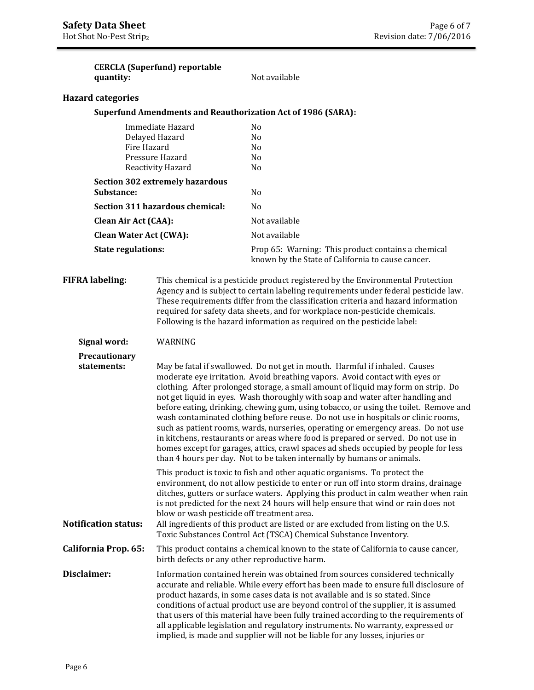|                             | quantity:                                                                                                                                                                                                                                                                                                                                                                                                                                       | <b>CERCLA</b> (Superfund) reportable                                                                                                                                                                                                                                                                                                                                                                                                                                                                                                                                                                                                                                                                                                                                                                                                                     | Not available                                                                                                                                                                                                                                                                                                                                                                                                                                                                                                                                                                                           |  |
|-----------------------------|-------------------------------------------------------------------------------------------------------------------------------------------------------------------------------------------------------------------------------------------------------------------------------------------------------------------------------------------------------------------------------------------------------------------------------------------------|----------------------------------------------------------------------------------------------------------------------------------------------------------------------------------------------------------------------------------------------------------------------------------------------------------------------------------------------------------------------------------------------------------------------------------------------------------------------------------------------------------------------------------------------------------------------------------------------------------------------------------------------------------------------------------------------------------------------------------------------------------------------------------------------------------------------------------------------------------|---------------------------------------------------------------------------------------------------------------------------------------------------------------------------------------------------------------------------------------------------------------------------------------------------------------------------------------------------------------------------------------------------------------------------------------------------------------------------------------------------------------------------------------------------------------------------------------------------------|--|
| <b>Hazard categories</b>    |                                                                                                                                                                                                                                                                                                                                                                                                                                                 |                                                                                                                                                                                                                                                                                                                                                                                                                                                                                                                                                                                                                                                                                                                                                                                                                                                          |                                                                                                                                                                                                                                                                                                                                                                                                                                                                                                                                                                                                         |  |
|                             |                                                                                                                                                                                                                                                                                                                                                                                                                                                 |                                                                                                                                                                                                                                                                                                                                                                                                                                                                                                                                                                                                                                                                                                                                                                                                                                                          | <b>Superfund Amendments and Reauthorization Act of 1986 (SARA):</b>                                                                                                                                                                                                                                                                                                                                                                                                                                                                                                                                     |  |
|                             | Immediate Hazard<br>Delayed Hazard<br>Fire Hazard<br>Pressure Hazard<br>Reactivity Hazard                                                                                                                                                                                                                                                                                                                                                       |                                                                                                                                                                                                                                                                                                                                                                                                                                                                                                                                                                                                                                                                                                                                                                                                                                                          | N <sub>o</sub><br>N <sub>o</sub><br>No<br>N <sub>o</sub><br>No                                                                                                                                                                                                                                                                                                                                                                                                                                                                                                                                          |  |
|                             | <b>Section 302 extremely hazardous</b><br>Substance:<br>Section 311 hazardous chemical:<br><b>Clean Air Act (CAA):</b>                                                                                                                                                                                                                                                                                                                          |                                                                                                                                                                                                                                                                                                                                                                                                                                                                                                                                                                                                                                                                                                                                                                                                                                                          | No                                                                                                                                                                                                                                                                                                                                                                                                                                                                                                                                                                                                      |  |
|                             |                                                                                                                                                                                                                                                                                                                                                                                                                                                 |                                                                                                                                                                                                                                                                                                                                                                                                                                                                                                                                                                                                                                                                                                                                                                                                                                                          | N <sub>o</sub>                                                                                                                                                                                                                                                                                                                                                                                                                                                                                                                                                                                          |  |
|                             |                                                                                                                                                                                                                                                                                                                                                                                                                                                 |                                                                                                                                                                                                                                                                                                                                                                                                                                                                                                                                                                                                                                                                                                                                                                                                                                                          | Not available                                                                                                                                                                                                                                                                                                                                                                                                                                                                                                                                                                                           |  |
|                             | <b>Clean Water Act (CWA):</b>                                                                                                                                                                                                                                                                                                                                                                                                                   |                                                                                                                                                                                                                                                                                                                                                                                                                                                                                                                                                                                                                                                                                                                                                                                                                                                          | Not available                                                                                                                                                                                                                                                                                                                                                                                                                                                                                                                                                                                           |  |
| <b>State regulations:</b>   |                                                                                                                                                                                                                                                                                                                                                                                                                                                 |                                                                                                                                                                                                                                                                                                                                                                                                                                                                                                                                                                                                                                                                                                                                                                                                                                                          | Prop 65: Warning: This product contains a chemical<br>known by the State of California to cause cancer.                                                                                                                                                                                                                                                                                                                                                                                                                                                                                                 |  |
|                             | <b>FIFRA labeling:</b><br>This chemical is a pesticide product registered by the Environmental Protection<br>Agency and is subject to certain labeling requirements under federal pesticide law.<br>These requirements differ from the classification criteria and hazard information<br>required for safety data sheets, and for workplace non-pesticide chemicals.<br>Following is the hazard information as required on the pesticide label: |                                                                                                                                                                                                                                                                                                                                                                                                                                                                                                                                                                                                                                                                                                                                                                                                                                                          |                                                                                                                                                                                                                                                                                                                                                                                                                                                                                                                                                                                                         |  |
| Signal word:                |                                                                                                                                                                                                                                                                                                                                                                                                                                                 | WARNING                                                                                                                                                                                                                                                                                                                                                                                                                                                                                                                                                                                                                                                                                                                                                                                                                                                  |                                                                                                                                                                                                                                                                                                                                                                                                                                                                                                                                                                                                         |  |
| statements:                 | Precautionary                                                                                                                                                                                                                                                                                                                                                                                                                                   | May be fatal if swallowed. Do not get in mouth. Harmful if inhaled. Causes<br>moderate eye irritation. Avoid breathing vapors. Avoid contact with eyes or<br>clothing. After prolonged storage, a small amount of liquid may form on strip. Do<br>not get liquid in eyes. Wash thoroughly with soap and water after handling and<br>before eating, drinking, chewing gum, using tobacco, or using the toilet. Remove and<br>wash contaminated clothing before reuse. Do not use in hospitals or clinic rooms,<br>such as patient rooms, wards, nurseries, operating or emergency areas. Do not use<br>in kitchens, restaurants or areas where food is prepared or served. Do not use in<br>homes except for garages, attics, crawl spaces ad sheds occupied by people for less<br>than 4 hours per day. Not to be taken internally by humans or animals. |                                                                                                                                                                                                                                                                                                                                                                                                                                                                                                                                                                                                         |  |
| <b>Notification status:</b> |                                                                                                                                                                                                                                                                                                                                                                                                                                                 | blow or wash pesticide off treatment area.                                                                                                                                                                                                                                                                                                                                                                                                                                                                                                                                                                                                                                                                                                                                                                                                               | This product is toxic to fish and other aquatic organisms. To protect the<br>environment, do not allow pesticide to enter or run off into storm drains, drainage<br>ditches, gutters or surface waters. Applying this product in calm weather when rain<br>is not predicted for the next 24 hours will help ensure that wind or rain does not<br>All ingredients of this product are listed or are excluded from listing on the U.S.<br>Toxic Substances Control Act (TSCA) Chemical Substance Inventory.                                                                                               |  |
| California Prop. 65:        |                                                                                                                                                                                                                                                                                                                                                                                                                                                 | This product contains a chemical known to the state of California to cause cancer,<br>birth defects or any other reproductive harm.                                                                                                                                                                                                                                                                                                                                                                                                                                                                                                                                                                                                                                                                                                                      |                                                                                                                                                                                                                                                                                                                                                                                                                                                                                                                                                                                                         |  |
| Disclaimer:                 |                                                                                                                                                                                                                                                                                                                                                                                                                                                 |                                                                                                                                                                                                                                                                                                                                                                                                                                                                                                                                                                                                                                                                                                                                                                                                                                                          | Information contained herein was obtained from sources considered technically<br>accurate and reliable. While every effort has been made to ensure full disclosure of<br>product hazards, in some cases data is not available and is so stated. Since<br>conditions of actual product use are beyond control of the supplier, it is assumed<br>that users of this material have been fully trained according to the requirements of<br>all applicable legislation and regulatory instruments. No warranty, expressed or<br>implied, is made and supplier will not be liable for any losses, injuries or |  |